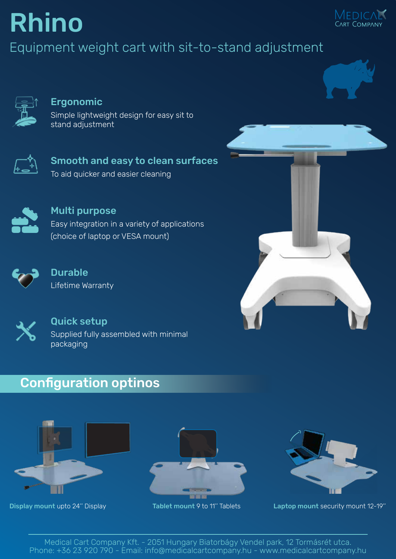# Rhino Equipment weight cart with sit-to-stand adjustment



### Ergonomic

Simple lightweight design for easy sit to stand adjustment



## Smooth and easy to clean surfaces To aid quicker and easier cleaning



## Multi purpose

Easy integration in a variety of applications (choice of laptop or VESA mount)



# Durable Lifetime Warranty



### Quick setup

Supplied fully assembled with minimal packaging

# Configuration optinos







Display mount upto 24" Display Tablet mount 9 to 11" Tablets Laptop mount security mount 12-19"



/Ifdic

Medical Cart Company Kft. - 2051 Hungary Biatorbágy Vendel park, 12 Tormásrét utca. Phone: +36 23 920 790 - Email: info@medicalcartcompany.hu - www.medicalcartcompany.hu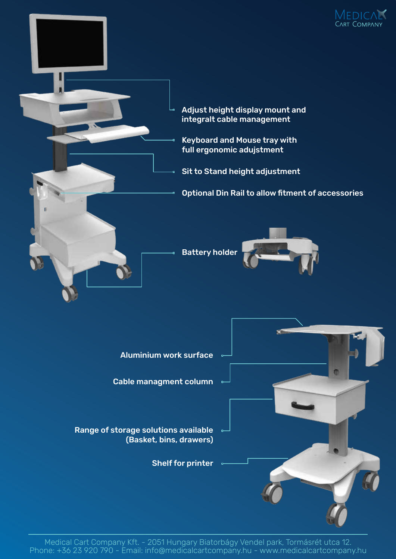

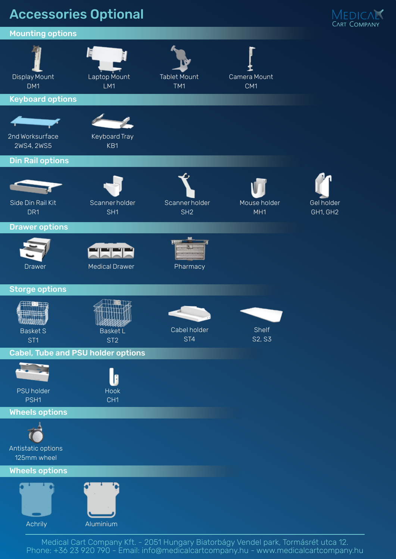Accessories Optional





Medical Cart Company Kft. - 2051 Hungary Biatorbágy Vendel park, Tormásrét utca 12. Phone: +36 23 920 790 - Email: info@medicalcartcompany.hu - www.medicalcartcompany.hu